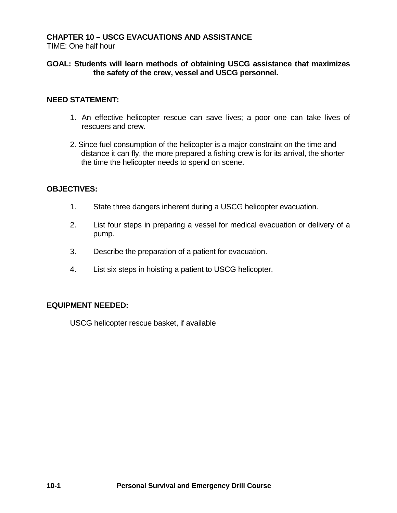# **CHAPTER 10 – USCG EVACUATIONS AND ASSISTANCE**

TIME: One half hour

## **GOAL: Students will learn methods of obtaining USCG assistance that maximizes the safety of the crew, vessel and USCG personnel.**

## **NEED STATEMENT:**

- 1. An effective helicopter rescue can save lives; a poor one can take lives of rescuers and crew.
- 2. Since fuel consumption of the helicopter is a major constraint on the time and distance it can fly, the more prepared a fishing crew is for its arrival, the shorter the time the helicopter needs to spend on scene.

#### **OBJECTIVES:**

- 1. State three dangers inherent during a USCG helicopter evacuation.
- 2. List four steps in preparing a vessel for medical evacuation or delivery of a pump.
- 3. Describe the preparation of a patient for evacuation.
- 4. List six steps in hoisting a patient to USCG helicopter.

## **EQUIPMENT NEEDED:**

USCG helicopter rescue basket, if available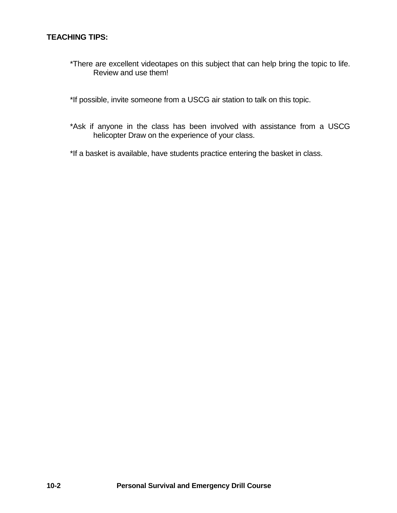# **TEACHING TIPS:**

- \*There are excellent videotapes on this subject that can help bring the topic to life. Review and use them!
- \*If possible, invite someone from a USCG air station to talk on this topic.
- \*Ask if anyone in the class has been involved with assistance from a USCG helicopter Draw on the experience of your class.
- \*If a basket is available, have students practice entering the basket in class.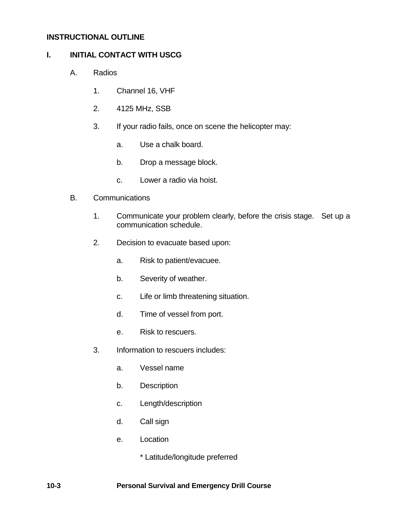## **INSTRUCTIONAL OUTLINE**

## **I. INITIAL CONTACT WITH USCG**

- A. Radios
	- 1. Channel 16, VHF
	- 2. 4125 MHz, SSB
	- 3. If your radio fails, once on scene the helicopter may:
		- a. Use a chalk board.
		- b. Drop a message block.
		- c. Lower a radio via hoist.
- B. Communications
	- 1. Communicate your problem clearly, before the crisis stage. Set up a communication schedule.
	- 2. Decision to evacuate based upon:
		- a. Risk to patient/evacuee.
		- b. Severity of weather.
		- c. Life or limb threatening situation.
		- d. Time of vessel from port.
		- e. Risk to rescuers.
	- 3. Information to rescuers includes:
		- a. Vessel name
		- b. Description
		- c. Length/description
		- d. Call sign
		- e. Location

\* Latitude/longitude preferred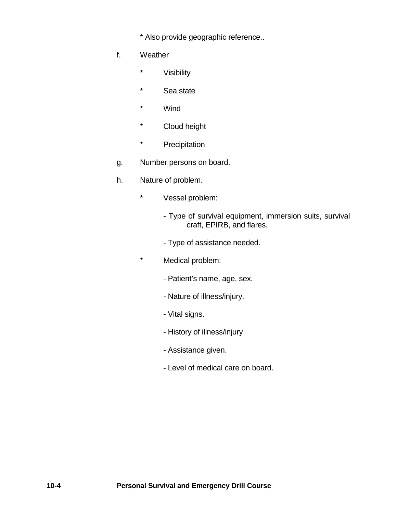\* Also provide geographic reference..

- f. Weather
	- \* Visibility
	- \* Sea state
	- \* Wind
	- \* Cloud height
	- \* Precipitation
- g. Number persons on board.
- h. Nature of problem.
	- \* Vessel problem:
		- Type of survival equipment, immersion suits, survival craft, EPIRB, and flares.
		- Type of assistance needed.
	- \* Medical problem:
		- Patient's name, age, sex.
		- Nature of illness/injury.
		- Vital signs.
		- History of illness/injury
		- Assistance given.
		- Level of medical care on board.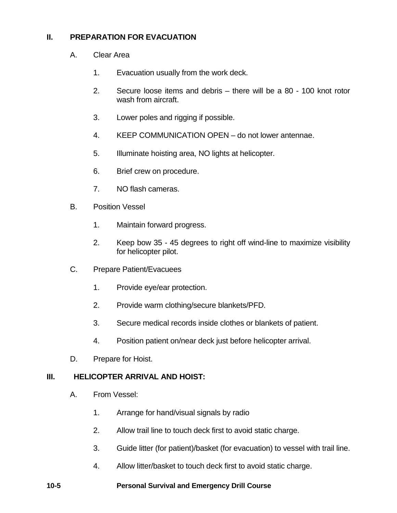# **II. PREPARATION FOR EVACUATION**

- A. Clear Area
	- 1. Evacuation usually from the work deck.
	- 2. Secure loose items and debris there will be a 80 100 knot rotor wash from aircraft.
	- 3. Lower poles and rigging if possible.
	- 4. KEEP COMMUNICATION OPEN do not lower antennae.
	- 5. Illuminate hoisting area, NO lights at helicopter.
	- 6. Brief crew on procedure.
	- 7. NO flash cameras.
- B. Position Vessel
	- 1. Maintain forward progress.
	- 2. Keep bow 35 45 degrees to right off wind-line to maximize visibility for helicopter pilot.
- C. Prepare Patient/Evacuees
	- 1. Provide eye/ear protection.
	- 2. Provide warm clothing/secure blankets/PFD.
	- 3. Secure medical records inside clothes or blankets of patient.
	- 4. Position patient on/near deck just before helicopter arrival.
- D. Prepare for Hoist.

#### **III. HELICOPTER ARRIVAL AND HOIST:**

- A. From Vessel:
	- 1. Arrange for hand/visual signals by radio
	- 2. Allow trail line to touch deck first to avoid static charge.
	- 3. Guide litter (for patient)/basket (for evacuation) to vessel with trail line.
	- 4. Allow litter/basket to touch deck first to avoid static charge.

#### **10-5 Personal Survival and Emergency Drill Course**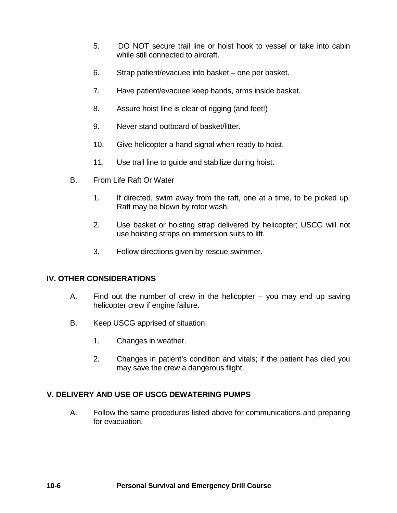- 5. DO NOT secure trail line or hoist hook to vessel or take into cabin while still connected to aircraft.
- 6. Strap patient/evacuee into basket one per basket.
- 7. Have patient/evacuee keep hands, arms inside basket.
- 8. Assure hoist line is clear of rigging (and feet!)
- 9. Never stand outboard of basket/litter.
- 10. Give helicopter a hand signal when ready to hoist.
- 11. Use trail line to guide and stabilize during hoist.
- B. From Life Raft Or Water
	- 1. If directed, swim away from the raft, one at a time, to be picked up. Raft may be blown by rotor wash.
	- 2. Use basket or hoisting strap delivered by helicopter; USCG will not use hoisting straps on immersion suits to lift.
	- 3. Follow directions given by rescue swimmer.

## **IV. OTHER CONSIDERATIONS**

- A. Find out the number of crew in the helicopter you may end up saving helicopter crew if engine failure.
- B. Keep USCG apprised of situation:
	- 1. Changes in weather.
	- 2. Changes in patient's condition and vitals; if the patient has died you may save the crew a dangerous flight.

# **V. DELIVERY AND USE OF USCG DEWATERING PUMPS**

A. Follow the same procedures listed above for communications and preparing for evacuation.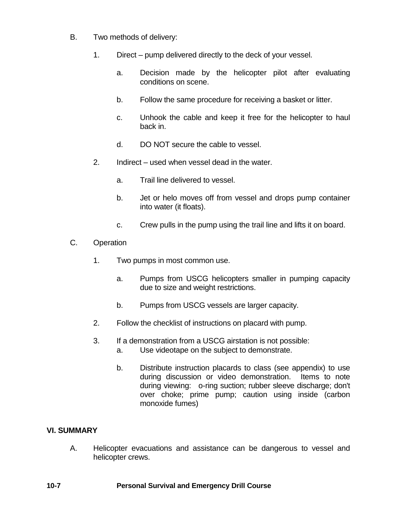- B. Two methods of delivery:
	- 1. Direct pump delivered directly to the deck of your vessel.
		- a. Decision made by the helicopter pilot after evaluating conditions on scene.
		- b. Follow the same procedure for receiving a basket or litter.
		- c. Unhook the cable and keep it free for the helicopter to haul back in.
		- d. DO NOT secure the cable to vessel.
	- 2. Indirect used when vessel dead in the water.
		- a. Trail line delivered to vessel.
		- b. Jet or helo moves off from vessel and drops pump container into water (it floats).
		- c. Crew pulls in the pump using the trail line and lifts it on board.
- C. Operation
	- 1. Two pumps in most common use.
		- a. Pumps from USCG helicopters smaller in pumping capacity due to size and weight restrictions.
		- b. Pumps from USCG vessels are larger capacity.
	- 2. Follow the checklist of instructions on placard with pump.
	- 3. If a demonstration from a USCG airstation is not possible:
		- a. Use videotape on the subject to demonstrate.
		- b. Distribute instruction placards to class (see appendix) to use during discussion or video demonstration. Items to note during viewing: o-ring suction; rubber sleeve discharge; don't over choke; prime pump; caution using inside (carbon monoxide fumes)

# **VI. SUMMARY**

A. Helicopter evacuations and assistance can be dangerous to vessel and helicopter crews.